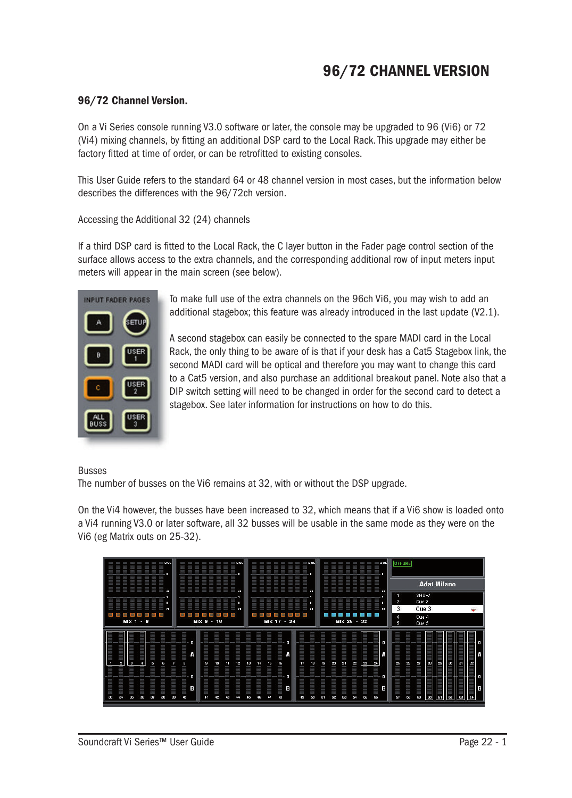# 96/72 CHANNEL VERSION

#### 96/72 Channel Version.

On a Vi Series console running V3.0 software or later, the console may be upgraded to 96 (Vi6) or 72 (Vi4) mixing channels, by fitting an additional DSP card to the Local Rack. This upgrade may either be factory fitted at time of order, or can be retrofitted to existing consoles.

This User Guide refers to the standard 64 or 48 channel version in most cases, but the information below describes the differences with the 96/72ch version.

Accessing the Additional 32 (24) channels

If a third DSP card is fitted to the Local Rack, the C layer button in the Fader page control section of the surface allows access to the extra channels, and the corresponding additional row of input meters input meters will appear in the main screen (see below).



To make full use of the extra channels on the 96ch Vi6, you may wish to add an additional stagebox; this feature was already introduced in the last update (V2.1).

A second stagebox can easily be connected to the spare MADI card in the Local Rack, the only thing to be aware of is that if your desk has a Cat5 Stagebox link, the second MADI card will be optical and therefore you may want to change this card to a Cat5 version, and also purchase an additional breakout panel. Note also that a DIP switch setting will need to be changed in order for the second card to detect a stagebox. See later information for instructions on how to do this.

#### Busses

The number of busses on the Vi6 remains at 32, with or without the DSP upgrade.

On the Vi4 however, the busses have been increased to 32, which means that if a Vi6 show is loaded onto a Vi4 running V3.0 or later software, all 32 busses will be usable in the same mode as they were on the Vi6 (eg Matrix outs on 25-32).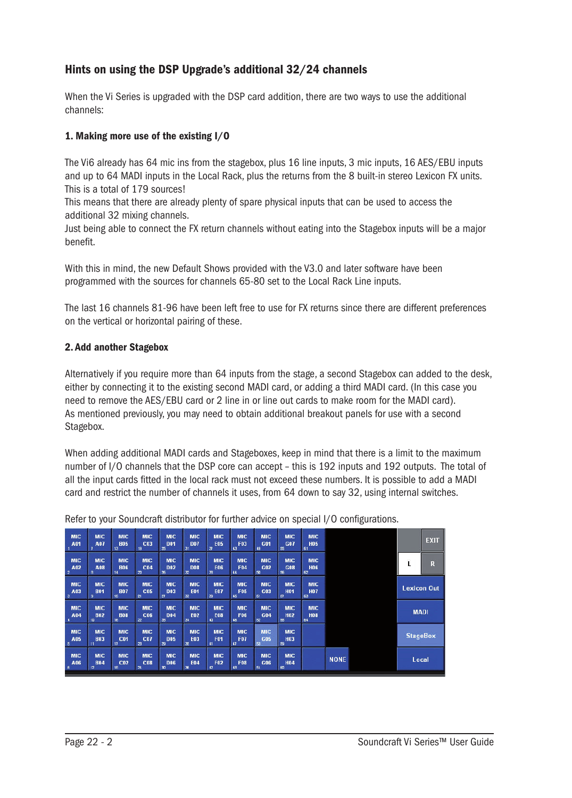## Hints on using the DSP Upgrade's additional 32/24 channels

When the Vi Series is upgraded with the DSP card addition, there are two ways to use the additional channels:

#### 1. Making more use of the existing I/O

The Vi6 already has 64 mic ins from the stagebox, plus 16 line inputs, 3 mic inputs, 16 AES/EBU inputs and up to 64 MADI inputs in the Local Rack, plus the returns from the 8 built-in stereo Lexicon FX units. This is a total of 179 sources!

This means that there are already plenty of spare physical inputs that can be used to access the additional 32 mixing channels.

Just being able to connect the FX return channels without eating into the Stagebox inputs will be a major benefit.

With this in mind, the new Default Shows provided with the V3.0 and later software have been programmed with the sources for channels 65-80 set to the Local Rack Line inputs.

The last 16 channels 81-96 have been left free to use for FX returns since there are different preferences on the vertical or horizontal pairing of these.

#### 2. Add another Stagebox

Alternatively if you require more than 64 inputs from the stage, a second Stagebox can added to the desk, either by connecting it to the existing second MADI card, or adding a third MADI card. (In this case you need to remove the AES/EBU card or 2 line in or line out cards to make room for the MADI card). As mentioned previously, you may need to obtain additional breakout panels for use with a second Stagebox.

When adding additional MADI cards and Stageboxes, keep in mind that there is a limit to the maximum number of I/O channels that the DSP core can accept – this is 192 inputs and 192 outputs. The total of all the input cards fitted in the local rack must not exceed these numbers. It is possible to add a MADI card and restrict the number of channels it uses, from 64 down to say 32, using internal switches.

| <b>MIC</b><br>A01                   | <b>MIC</b><br>A07              | <b>MIC</b><br><b>B05</b><br>13      | <b>MIC</b><br>C <sub>03</sub><br>19           | <b>MIC</b><br><b>D01</b><br>25 | <b>MIC</b><br><b>D07</b><br>31             | <b>MIC</b><br><b>E05</b><br>$\overline{37}$ | <b>MIC</b><br><b>F03</b><br>$\mathbf{a}$ | <b>MIC</b><br>G01<br>19           | <b>MIC</b><br>G07<br>55        | <b>MIC</b><br><b>H05</b><br>61 |             |  |                    | <b>EXIT</b> |
|-------------------------------------|--------------------------------|-------------------------------------|-----------------------------------------------|--------------------------------|--------------------------------------------|---------------------------------------------|------------------------------------------|-----------------------------------|--------------------------------|--------------------------------|-------------|--|--------------------|-------------|
| <b>MIC</b><br>A02<br>$\overline{2}$ | <b>MIC</b><br>A08<br>8         | <b>MIC</b><br><b>B06</b><br>11      | <b>MIC</b><br>C <sub>04</sub><br>$\mathbf{z}$ | <b>MIC</b><br><b>D02</b><br>26 | <b>MIC</b><br><b>D08</b><br>$\overline{x}$ | <b>MIC</b><br><b>E06</b><br>38              | <b>MIC</b><br>F04<br>$\mathbf{u}$        | <b>MIC</b><br>G02<br>$\mathbf{a}$ | <b>MIC</b><br>G08<br>56        | <b>MIC</b><br><b>H06</b><br>62 |             |  | Ĺ                  | $\mathbf R$ |
| <b>MIC</b><br>A03<br>з              | <b>MIC</b><br><b>B01</b><br>9  | <b>MIC</b><br><b>B07</b><br>15      | <b>MIC</b><br><b>C05</b><br>21                | <b>MIC</b><br><b>D03</b><br>27 | <b>MIC</b><br><b>E01</b><br>33             | <b>MIC</b><br><b>E07</b><br>39              | <b>MIC</b><br><b>F05</b><br>45           | <b>MIC</b><br>G03<br>51           | <b>MIC</b><br><b>H01</b><br>57 | <b>MIC</b><br><b>H07</b><br>63 |             |  | <b>Lexicon Out</b> |             |
| <b>MIC</b><br>A04                   | <b>MIC</b><br><b>B02</b><br>10 | <b>MIC</b><br><b>B08</b><br>16      | <b>MIC</b><br>C06<br>22                       | <b>MIC</b><br><b>D04</b><br>28 | <b>MIC</b><br>E02<br>34                    | <b>MIC</b><br><b>E08</b><br>40              | <b>MIC</b><br><b>F06</b><br>46           | <b>MIC</b><br>G04<br>52           | <b>MIC</b><br><b>H02</b><br>58 | <b>MIC</b><br><b>H08</b><br>64 |             |  | <b>MADI</b>        |             |
| <b>MIC</b><br>A05<br>5              | <b>MIC</b><br><b>B03</b><br>11 | <b>MIC</b><br>C <sub>01</sub><br>17 | <b>MIC</b><br>C <sub>07</sub><br>23           | <b>MIC</b><br><b>D05</b><br>29 | <b>MIC</b><br><b>E03</b><br>35             | <b>MIC</b><br>F01<br>$\mathbf{u}$           | <b>MIC</b><br><b>F07</b><br>$\sqrt{1}$   | <b>MIC</b><br>G05<br>53           | <b>MIC</b><br><b>H03</b><br>59 |                                |             |  | <b>StageBox</b>    |             |
| <b>MIC</b><br>A06<br>6              | <b>MIC</b><br><b>B04</b><br>12 | <b>MIC</b><br>C <sub>02</sub><br>18 | <b>MIC</b><br>C08<br>24                       | <b>MIC</b><br><b>D06</b><br>30 | <b>MIC</b><br><b>E04</b><br>36             | <b>MIC</b><br><b>F02</b><br>12              | <b>MIC</b><br><b>F08</b><br>48           | <b>MIC</b><br>G06<br>54           | <b>MIC</b><br><b>H04</b><br>60 |                                | <b>NONE</b> |  | Local              |             |

Refer to your Soundcraft distributor for further advice on special I/O configurations.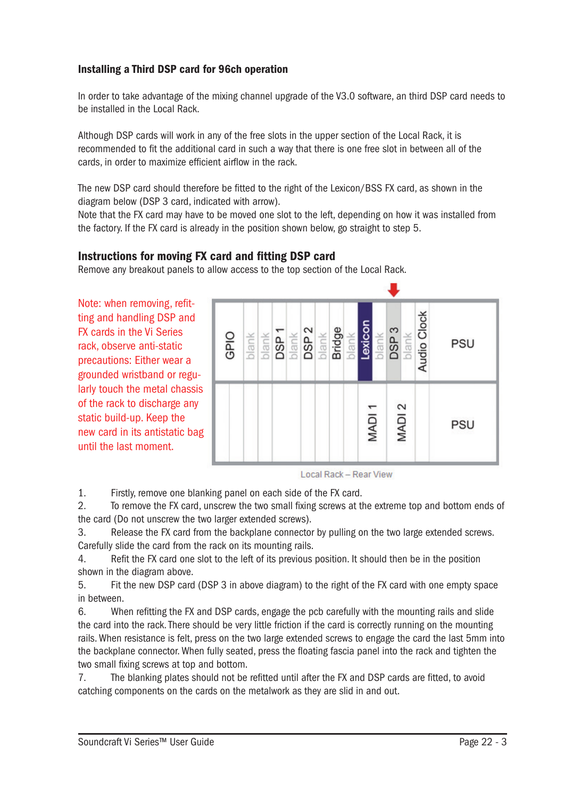### Installing a Third DSP card for 96ch operation

In order to take advantage of the mixing channel upgrade of the V3.0 software, an third DSP card needs to be installed in the Local Rack.

Although DSP cards will work in any of the free slots in the upper section of the Local Rack, it is recommended to fit the additional card in such a way that there is one free slot in between all of the cards, in order to maximize efficient airflow in the rack.

The new DSP card should therefore be fitted to the right of the Lexicon/BSS FX card, as shown in the diagram below (DSP 3 card, indicated with arrow).

Note that the FX card may have to be moved one slot to the left, depending on how it was installed from the factory. If the FX card is already in the position shown below, go straight to step 5.

### Instructions for moving FX card and fitting DSP card

Remove any breakout panels to allow access to the top section of the Local Rack.

Note: when removing, refitting and handling DSP and FX cards in the Vi Series rack, observe anti-static precautions: Either wear a grounded wristband or regularly touch the metal chassis of the rack to discharge any static build-up. Keep the new card in its antistatic bag until the last moment.



**Local Rack - Rear View** 

1. Firstly, remove one blanking panel on each side of the FX card.

2. To remove the FX card, unscrew the two small fixing screws at the extreme top and bottom ends of the card (Do not unscrew the two larger extended screws).

3. Release the FX card from the backplane connector by pulling on the two large extended screws. Carefully slide the card from the rack on its mounting rails.

4. Refit the FX card one slot to the left of its previous position. It should then be in the position shown in the diagram above.

5. Fit the new DSP card (DSP 3 in above diagram) to the right of the FX card with one empty space in between.

6. When refitting the FX and DSP cards, engage the pcb carefully with the mounting rails and slide the card into the rack. There should be very little friction if the card is correctly running on the mounting rails. When resistance is felt, press on the two large extended screws to engage the card the last 5mm into the backplane connector. When fully seated, press the floating fascia panel into the rack and tighten the two small fixing screws at top and bottom.

7. The blanking plates should not be refitted until after the FX and DSP cards are fitted, to avoid catching components on the cards on the metalwork as they are slid in and out.